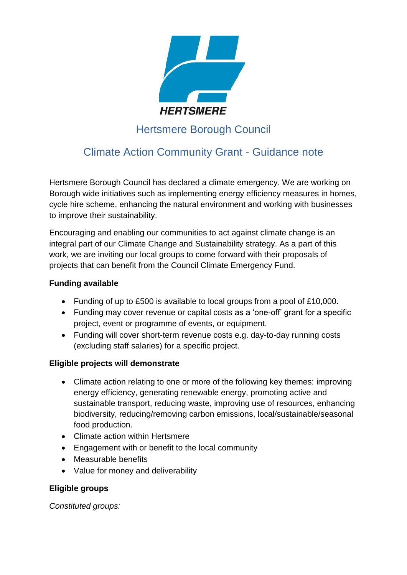

# Hertsmere Borough Council

# Climate Action Community Grant - Guidance note

Hertsmere Borough Council has declared a climate emergency. We are working on Borough wide initiatives such as implementing energy efficiency measures in homes, cycle hire scheme, enhancing the natural environment and working with businesses to improve their sustainability.

Encouraging and enabling our communities to act against climate change is an integral part of our Climate Change and Sustainability strategy. As a part of this work, we are inviting our local groups to come forward with their proposals of projects that can benefit from the Council Climate Emergency Fund.

# **Funding available**

- Funding of up to £500 is available to local groups from a pool of £10,000.
- Funding may cover revenue or capital costs as a 'one-off' grant for a specific project, event or programme of events, or equipment.
- Funding will cover short-term revenue costs e.g. day-to-day running costs (excluding staff salaries) for a specific project.

# **Eligible projects will demonstrate**

- Climate action relating to one or more of the following key themes: improving energy efficiency, generating renewable energy, promoting active and sustainable transport, reducing waste, improving use of resources, enhancing biodiversity, reducing/removing carbon emissions, local/sustainable/seasonal food production.
- Climate action within Hertsmere
- Engagement with or benefit to the local community
- Measurable benefits
- Value for money and deliverability

# **Eligible groups**

*Constituted groups:*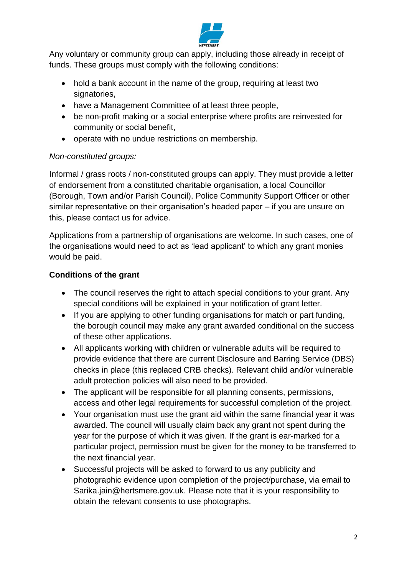

Any voluntary or community group can apply, including those already in receipt of funds. These groups must comply with the following conditions:

- hold a bank account in the name of the group, requiring at least two signatories,
- have a Management Committee of at least three people,
- be non-profit making or a social enterprise where profits are reinvested for community or social benefit,
- operate with no undue restrictions on membership.

# *Non-constituted groups:*

Informal / grass roots / non-constituted groups can apply. They must provide a letter of endorsement from a constituted charitable organisation, a local Councillor (Borough, Town and/or Parish Council), Police Community Support Officer or other similar representative on their organisation's headed paper – if you are unsure on this, please contact us for advice.

Applications from a partnership of organisations are welcome. In such cases, one of the organisations would need to act as 'lead applicant' to which any grant monies would be paid.

# **Conditions of the grant**

- The council reserves the right to attach special conditions to your grant. Any special conditions will be explained in your notification of grant letter.
- If you are applying to other funding organisations for match or part funding, the borough council may make any grant awarded conditional on the success of these other applications.
- All applicants working with children or vulnerable adults will be required to provide evidence that there are current Disclosure and Barring Service (DBS) checks in place (this replaced CRB checks). Relevant child and/or vulnerable adult protection policies will also need to be provided.
- The applicant will be responsible for all planning consents, permissions, access and other legal requirements for successful completion of the project.
- Your organisation must use the grant aid within the same financial year it was awarded. The council will usually claim back any grant not spent during the year for the purpose of which it was given. If the grant is ear-marked for a particular project, permission must be given for the money to be transferred to the next financial year.
- Successful projects will be asked to forward to us any publicity and photographic evidence upon completion of the project/purchase, via email to Sarika.jain@hertsmere.gov.uk. Please note that it is your responsibility to obtain the relevant consents to use photographs.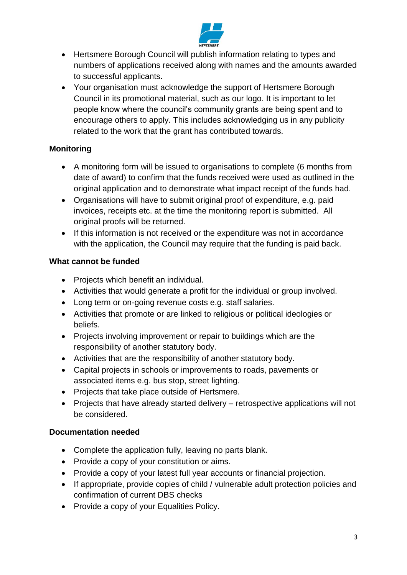

- Hertsmere Borough Council will publish information relating to types and numbers of applications received along with names and the amounts awarded to successful applicants.
- Your organisation must acknowledge the support of Hertsmere Borough Council in its promotional material, such as our logo. It is important to let people know where the council's community grants are being spent and to encourage others to apply. This includes acknowledging us in any publicity related to the work that the grant has contributed towards.

# **Monitoring**

- A monitoring form will be issued to organisations to complete (6 months from date of award) to confirm that the funds received were used as outlined in the original application and to demonstrate what impact receipt of the funds had.
- Organisations will have to submit original proof of expenditure, e.g. paid invoices, receipts etc. at the time the monitoring report is submitted. All original proofs will be returned.
- If this information is not received or the expenditure was not in accordance with the application, the Council may require that the funding is paid back.

# **What cannot be funded**

- Projects which benefit an individual.
- Activities that would generate a profit for the individual or group involved.
- Long term or on-going revenue costs e.g. staff salaries.
- Activities that promote or are linked to religious or political ideologies or beliefs.
- Projects involving improvement or repair to buildings which are the responsibility of another statutory body.
- Activities that are the responsibility of another statutory body.
- Capital projects in schools or improvements to roads, pavements or associated items e.g. bus stop, street lighting.
- Projects that take place outside of Hertsmere.
- Projects that have already started delivery retrospective applications will not be considered.

# **Documentation needed**

- Complete the application fully, leaving no parts blank.
- Provide a copy of your constitution or aims.
- Provide a copy of your latest full year accounts or financial projection.
- If appropriate, provide copies of child / vulnerable adult protection policies and confirmation of current DBS checks
- Provide a copy of your Equalities Policy.